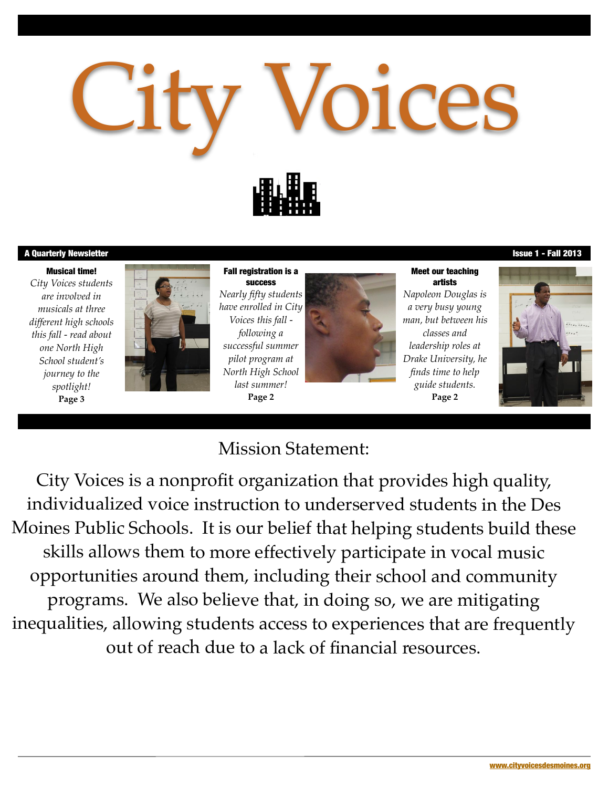

#### A Quarterly Newsletter Issue 1 - Fall 2013

Musical time! *City Voices students are involved in musicals at three different high schools this fall - read about one North High School student's journey to the spotlight!* **Page 3**



Fall registration is a success *Nearly fifty students have enrolled in City Voices this fall following a successful summer pilot program at North High School last summer!* **Page 2**



#### Meet our teaching artists

*Napoleon Douglas is a very busy young man, but between his classes and leadership roles at Drake University, he finds time to help guide students.*  **Page 2**



## Mission Statement:

City Voices is a nonprofit organization that provides high quality, individualized voice instruction to underserved students in the Des Moines Public Schools. It is our belief that helping students build these skills allows them to more effectively participate in vocal music opportunities around them, including their school and community programs. We also believe that, in doing so, we are mitigating inequalities, allowing students access to experiences that are frequently out of reach due to a lack of financial resources.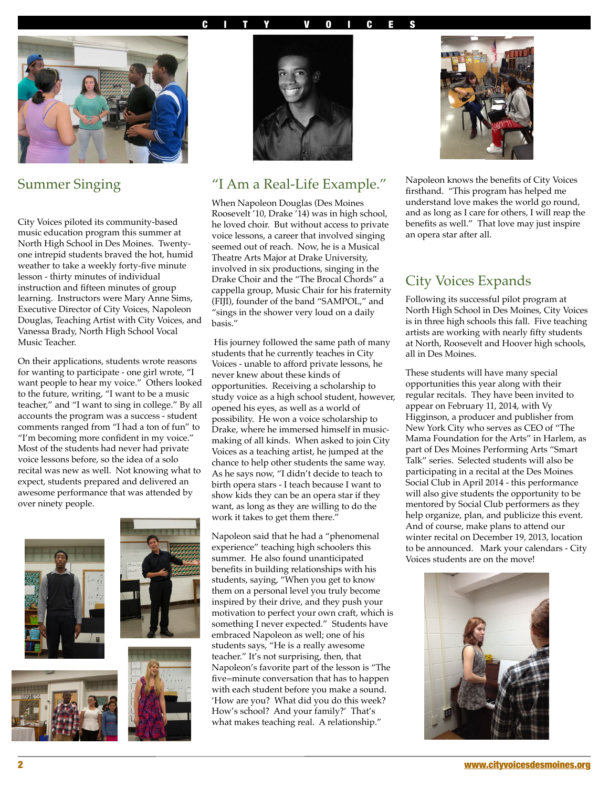#### CITY VOICES



## Summer Singing

City Voices piloted its community-based music education program this summer at North High School in Des Moines. Twentyone intrepid students braved the hot, humid weather to take a weekly forty-five minute lesson - thirty minutes of individual instruction and fifteen minutes of group learning. Instructors were Mary Anne Sims, Executive Director of City Voices, Napoleon Douglas, Teaching Artist with City Voices, and Vanessa Brady, North High School Vocal Music Teacher.

On their applications, students wrote reasons for wanting to participate - one girl wrote, "I want people to hear my voice." Others looked to the future, writing, "I want to be a music teacher," and "I want to sing in college." By all accounts the program was a success - student comments ranged from "I had a ton of fun" to "I'm becoming more confident in my voice." Most of the students had never had private voice lessons before, so the idea of a solo recital was new as well. Not knowing what to expect, students prepared and delivered an awesome performance that was attended by over ninety people.











## "I Am a Real-Life Example."

When Napoleon Douglas (Des Moines Roosevelt '10, Drake '14) was in high school, he loved choir. But without access to private voice lessons, a career that involved singing seemed out of reach. Now, he is a Musical Theatre Arts Major at Drake University, involved in six productions, singing in the Drake Choir and the "The Brocal Chords" a cappella group, Music Chair for his fraternity (FIJI), founder of the band "SAMPOL," and "sings in the shower very loud on a daily basis."

 His journey followed the same path of many students that he currently teaches in City Voices - unable to afford private lessons, he never knew about these kinds of opportunities. Receiving a scholarship to study voice as a high school student, however, opened his eyes, as well as a world of possibility. He won a voice scholarship to Drake, where he immersed himself in musicmaking of all kinds. When asked to join City Voices as a teaching artist, he jumped at the chance to help other students the same way. As he says now, "I didn't decide to teach to birth opera stars - I teach because I want to show kids they can be an opera star if they want, as long as they are willing to do the work it takes to get them there."

Napoleon said that he had a "phenomenal experience" teaching high schoolers this summer. He also found unanticipated benefits in building relationships with his students, saying, "When you get to know them on a personal level you truly become inspired by their drive, and they push your motivation to perfect your own craft, which is something I never expected." Students have embraced Napoleon as well; one of his students says, "He is a really awesome teacher." It's not surprising, then, that Napoleon's favorite part of the lesson is "The five=minute conversation that has to happen with each student before you make a sound. 'How are you? What did you do this week? How's school? And your family?' That's what makes teaching real. A relationship."



Napoleon knows the benefits of City Voices firsthand. "This program has helped me understand love makes the world go round, and as long as I care for others, I will reap the benefits as well." That love may just inspire an opera star after all.

## City Voices Expands

Following its successful pilot program at North High School in Des Moines, City Voices is in three high schools this fall. Five teaching artists are working with nearly fifty students at North, Roosevelt and Hoover high schools, all in Des Moines.

These students will have many special opportunities this year along with their regular recitals. They have been invited to appear on February 11, 2014, with Vy Higginson, a producer and publisher from New York City who serves as CEO of "The Mama Foundation for the Arts" in Harlem, as part of Des Moines Performing Arts "Smart Talk" series. Selected students will also be participating in a recital at the Des Moines Social Club in April 2014 - this performance will also give students the opportunity to be mentored by Social Club performers as they help organize, plan, and publicize this event. And of course, make plans to attend our winter recital on December 19, 2013, location to be announced. Mark your calendars - City Voices students are on the move!

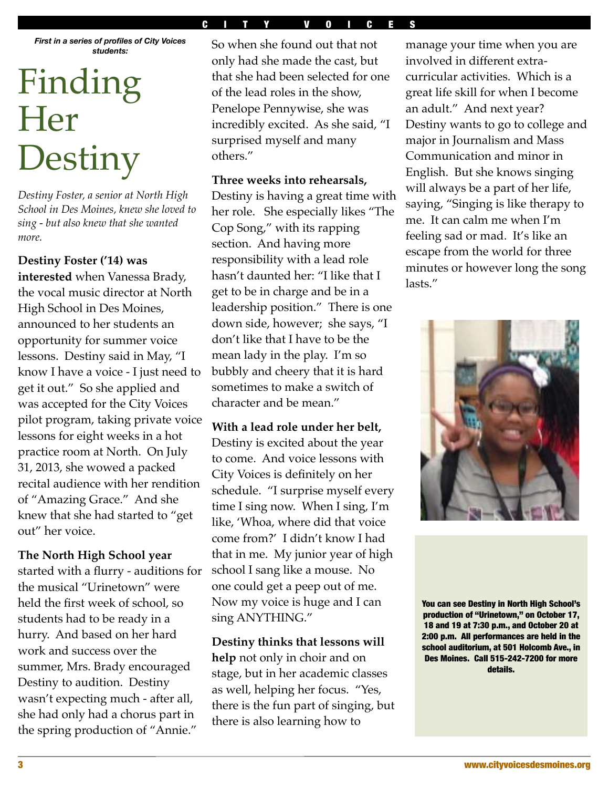#### CITY VOICES

*First in a series of profiles of City Voices students:*

## Finding **Her Destiny**

*Destiny Foster, a senior at North High School in Des Moines, knew she loved to sing - but also knew that she wanted more.*

**Destiny Foster ('14) was interested** when Vanessa Brady, the vocal music director at North High School in Des Moines, announced to her students an opportunity for summer voice lessons. Destiny said in May, "I know I have a voice - I just need to get it out." So she applied and was accepted for the City Voices pilot program, taking private voice lessons for eight weeks in a hot practice room at North. On July 31, 2013, she wowed a packed recital audience with her rendition of "Amazing Grace." And she knew that she had started to "get out" her voice.

**The North High School year** started with a flurry - auditions for the musical "Urinetown" were held the first week of school, so students had to be ready in a hurry. And based on her hard work and success over the summer, Mrs. Brady encouraged Destiny to audition. Destiny wasn't expecting much - after all, she had only had a chorus part in the spring production of "Annie."

So when she found out that not only had she made the cast, but that she had been selected for one of the lead roles in the show, Penelope Pennywise, she was incredibly excited. As she said, "I surprised myself and many others."

**Three weeks into rehearsals,** Destiny is having a great time with her role. She especially likes "The Cop Song," with its rapping section. And having more responsibility with a lead role hasn't daunted her: "I like that I get to be in charge and be in a leadership position." There is one down side, however; she says, "I don't like that I have to be the mean lady in the play. I'm so bubbly and cheery that it is hard sometimes to make a switch of character and be mean."

**With a lead role under her belt,** Destiny is excited about the year to come. And voice lessons with City Voices is definitely on her schedule. "I surprise myself every time I sing now. When I sing, I'm like, 'Whoa, where did that voice come from?' I didn't know I had that in me. My junior year of high school I sang like a mouse. No one could get a peep out of me. Now my voice is huge and I can sing ANYTHING."

**Destiny thinks that lessons will help** not only in choir and on stage, but in her academic classes as well, helping her focus. "Yes, there is the fun part of singing, but there is also learning how to

manage your time when you are involved in different extracurricular activities. Which is a great life skill for when I become an adult." And next year? Destiny wants to go to college and major in Journalism and Mass Communication and minor in English. But she knows singing will always be a part of her life, saying, "Singing is like therapy to me. It can calm me when I'm feeling sad or mad. It's like an escape from the world for three minutes or however long the song lasts."



You can see Destiny in North High School's production of "Urinetown," on October 17, 18 and 19 at 7:30 p.m., and October 20 at 2:00 p.m. All performances are held in the school auditorium, at 501 Holcomb Ave., in Des Moines. Call 515-242-7200 for more details.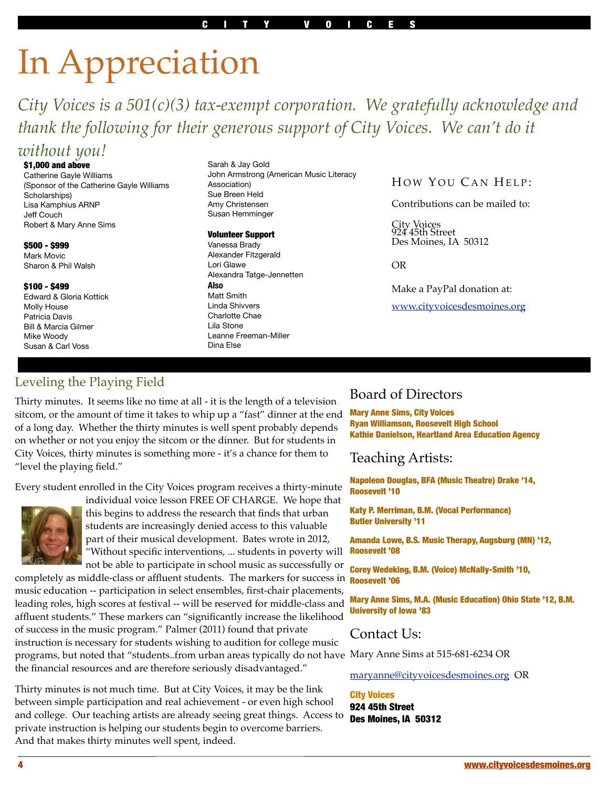# In Appreciation

*City Voices is a 501(c)(3) tax-exempt corporation. We gratefully acknowledge and thank the following for their generous support of City Voices. We can't do it* 

## *without you!*

\$1,000 and above

Catherine Gayle Williams (Sponsor of the Catherine Gayle Williams Scholarships) Lisa Kamphius ARNP Jeff Couch Robert & Mary Anne Sims

#### \$500 - \$999

Mark Movic Sharon & Phil Walsh

#### \$100 - \$499

Edward & Gloria Kottick Molly House Patricia Davis Bill & Marcia Gilmer Mike Woody Susan & Carl Voss

Sarah & Jay Gold John Armstrong (American Music Literacy Association) Sue Breen Held Amy Christensen Susan Hemminger

#### Volunteer Support

Vanessa Brady Alexander Fitzgerald Lori Glawe Alexandra Tatge-Jennetten **Also** Matt Smith Linda Shivvers Charlotte Chae Lila Stone Leanne Freeman-Miller Dina Else

#### HOW YOU CAN HELP:

Contributions can be mailed to:

City Voices 924 45th Street Des Moines, IA 50312

OR

Make a PayPal donation at: [www.cityvoicesdesmoines.org](http://www.cityvoicesdesmoines.org)

## Leveling the Playing Field

Thirty minutes. It seems like no time at all - it is the length of a television sitcom, or the amount of time it takes to whip up a "fast" dinner at the end of a long day. Whether the thirty minutes is well spent probably depends on whether or not you enjoy the sitcom or the dinner. But for students in City Voices, thirty minutes is something more - it's a chance for them to "level the playing field."

Every student enrolled in the City Voices program receives a thirty-minute



individual voice lesson FREE OF CHARGE. We hope that this begins to address the research that finds that urban students are increasingly denied access to this valuable part of their musical development. Bates wrote in 2012, "Without specific interventions, ... students in poverty will

programs, but noted that "students..from urban areas typically do not have Mary Anne Sims at 515-681-6234 OR not be able to participate in school music as successfully or completely as middle-class or affluent students. The markers for success in music education -- participation in select ensembles, first-chair placements, leading roles, high scores at festival -- will be reserved for middle-class and affluent students." These markers can "significantly increase the likelihood of success in the music program." Palmer (2011) found that private instruction is necessary for students wishing to audition for college music the financial resources and are therefore seriously disadvantaged."

Thirty minutes is not much time. But at City Voices, it may be the link between simple participation and real achievement - or even high school and college. Our teaching artists are already seeing great things. Access to private instruction is helping our students begin to overcome barriers. And that makes thirty minutes well spent, indeed.

## Board of Directors

Mary Anne Sims, City Voices Ryan Williamson, Roosevelt High School Kathie Danielson, Heartland Area Education Agency

## Teaching Artists:

Napoleon Douglas, BFA (Music Theatre) Drake '14, Roosevelt '10

Katy P. Merriman, B.M. (Vocal Performance) Butler University '11

Amanda Lowe, B.S. Music Therapy, Augsburg (MN) '12, Roosevelt '08

Corey Wedeking, B.M. (Voice) McNally-Smith '10, Roosevelt '06

Mary Anne Sims, M.A. (Music Education) Ohio State '12, B.M. University of Iowa '83

## Contact Us:

[maryanne@cityvoicesdesmoines.org](mailto:maryanne@cityvoicesdesmoines.org) OR

City Voices 924 45th Street Des Moines, IA 50312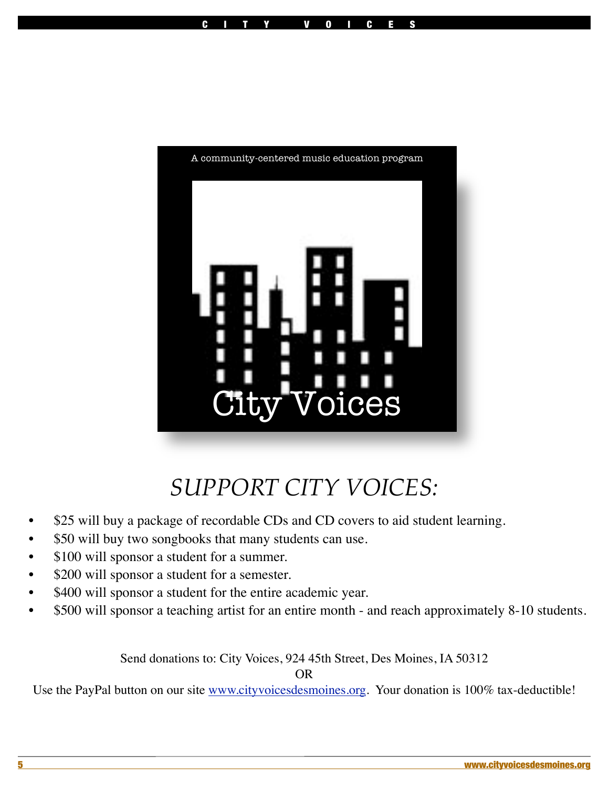

## *SUPPORT CITY VOICES:*

- \$25 will buy a package of recordable CDs and CD covers to aid student learning.
- \$50 will buy two songbooks that many students can use.
- \$100 will sponsor a student for a summer.
- \$200 will sponsor a student for a semester.
- \$400 will sponsor a student for the entire academic year.
- \$500 will sponsor a teaching artist for an entire month and reach approximately 8-10 students.

Send donations to: City Voices, 924 45th Street, Des Moines, IA 50312

OR

Use the PayPal button on our site [www.cityvoicesdesmoines.org.](http://www.cityvoicesdesmoines.org) Your donation is 100% tax-deductible!